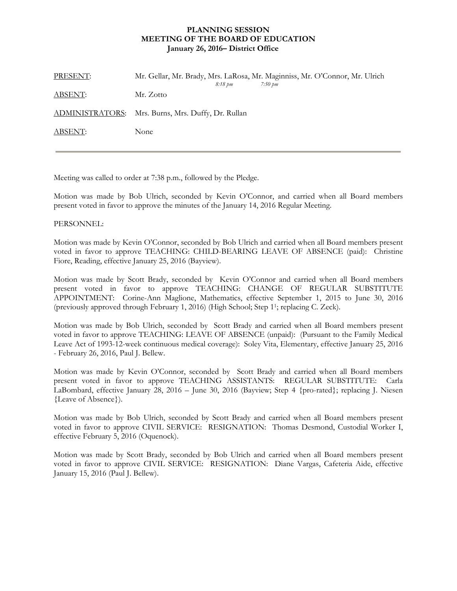## **PLANNING SESSION MEETING OF THE BOARD OF EDUCATION January 26, 2016– District Office**

| PRESENT: | Mr. Gellar, Mr. Brady, Mrs. LaRosa, Mr. Maginniss, Mr. O'Connor, Mr. Ulrich<br>8:18 pm<br>7:50 pm |
|----------|---------------------------------------------------------------------------------------------------|
| ABSENT:  | Mr. Zotto                                                                                         |
|          | ADMINISTRATORS: Mrs. Burns, Mrs. Duffy, Dr. Rullan                                                |
| ABSENT:  | None                                                                                              |

Meeting was called to order at 7:38 p.m., followed by the Pledge.

Motion was made by Bob Ulrich, seconded by Kevin O'Connor, and carried when all Board members present voted in favor to approve the minutes of the January 14, 2016 Regular Meeting.

## PERSONNEL:

Motion was made by Kevin O'Connor, seconded by Bob Ulrich and carried when all Board members present voted in favor to approve TEACHING: CHILD-BEARING LEAVE OF ABSENCE (paid): Christine Fiore, Reading, effective January 25, 2016 (Bayview).

Motion was made by Scott Brady, seconded by Kevin O'Connor and carried when all Board members present voted in favor to approve TEACHING: CHANGE OF REGULAR SUBSTITUTE APPOINTMENT: Corine-Ann Maglione, Mathematics, effective September 1, 2015 to June 30, 2016 (previously approved through February 1, 2016) (High School; Step 11; replacing C. Zeck).

Motion was made by Bob Ulrich, seconded by Scott Brady and carried when all Board members present voted in favor to approve TEACHING: LEAVE OF ABSENCE (unpaid): (Pursuant to the Family Medical Leave Act of 1993-12-week continuous medical coverage): Soley Vita, Elementary, effective January 25, 2016 - February 26, 2016, Paul J. Bellew.

Motion was made by Kevin O'Connor, seconded by Scott Brady and carried when all Board members present voted in favor to approve TEACHING ASSISTANTS: REGULAR SUBSTITUTE: Carla LaBombard, effective January 28, 2016 – June 30, 2016 (Bayview; Step 4 {pro-rated}; replacing J. Niesen {Leave of Absence}).

Motion was made by Bob Ulrich, seconded by Scott Brady and carried when all Board members present voted in favor to approve CIVIL SERVICE: RESIGNATION: Thomas Desmond, Custodial Worker I, effective February 5, 2016 (Oquenock).

Motion was made by Scott Brady, seconded by Bob Ulrich and carried when all Board members present voted in favor to approve CIVIL SERVICE: RESIGNATION: Diane Vargas, Cafeteria Aide, effective January 15, 2016 (Paul J. Bellew).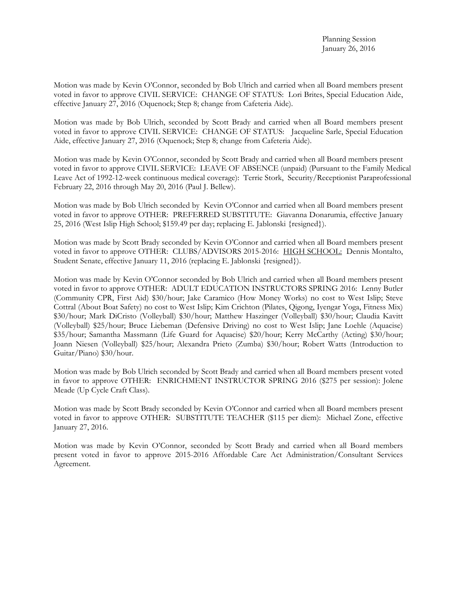Motion was made by Kevin O'Connor, seconded by Bob Ulrich and carried when all Board members present voted in favor to approve CIVIL SERVICE: CHANGE OF STATUS: Lori Brites, Special Education Aide, effective January 27, 2016 (Oquenock; Step 8; change from Cafeteria Aide).

Motion was made by Bob Ulrich, seconded by Scott Brady and carried when all Board members present voted in favor to approve CIVIL SERVICE: CHANGE OF STATUS: Jacqueline Sarle, Special Education Aide, effective January 27, 2016 (Oquenock; Step 8; change from Cafeteria Aide).

Motion was made by Kevin O'Connor, seconded by Scott Brady and carried when all Board members present voted in favor to approve CIVIL SERVICE: LEAVE OF ABSENCE (unpaid) (Pursuant to the Family Medical Leave Act of 1992-12-week continuous medical coverage): Terrie Stork, Security/Receptionist Paraprofessional February 22, 2016 through May 20, 2016 (Paul J. Bellew).

Motion was made by Bob Ulrich seconded by Kevin O'Connor and carried when all Board members present voted in favor to approve OTHER: PREFERRED SUBSTITUTE: Giavanna Donarumia, effective January 25, 2016 (West Islip High School; \$159.49 per day; replacing E. Jablonski {resigned}).

Motion was made by Scott Brady seconded by Kevin O'Connor and carried when all Board members present voted in favor to approve OTHER: CLUBS/ADVISORS 2015-2016: HIGH SCHOOL: Dennis Montalto, Student Senate, effective January 11, 2016 (replacing E. Jablonski {resigned}).

Motion was made by Kevin O'Connor seconded by Bob Ulrich and carried when all Board members present voted in favor to approve OTHER: ADULT EDUCATION INSTRUCTORS SPRING 2016: Lenny Butler (Community CPR, First Aid) \$30/hour; Jake Caramico (How Money Works) no cost to West Islip; Steve Cottral (About Boat Safety) no cost to West Islip; Kim Crichton (Pilates, Qigong, Iyengar Yoga, Fitness Mix) \$30/hour; Mark DiCristo (Volleyball) \$30/hour; Matthew Haszinger (Volleyball) \$30/hour; Claudia Kavitt (Volleyball) \$25/hour; Bruce Liebeman (Defensive Driving) no cost to West Islip; Jane Loehle (Aquacise) \$35/hour; Samantha Massmann (Life Guard for Aquacise) \$20/hour; Kerry McCarthy (Acting) \$30/hour; Joann Niesen (Volleyball) \$25/hour; Alexandra Prieto (Zumba) \$30/hour; Robert Watts (Introduction to Guitar/Piano) \$30/hour.

Motion was made by Bob Ulrich seconded by Scott Brady and carried when all Board members present voted in favor to approve OTHER: ENRICHMENT INSTRUCTOR SPRING 2016 (\$275 per session): Jolene Meade (Up Cycle Craft Class).

Motion was made by Scott Brady seconded by Kevin O'Connor and carried when all Board members present voted in favor to approve OTHER: SUBSTITUTE TEACHER (\$115 per diem): Michael Zone, effective January 27, 2016.

Motion was made by Kevin O'Connor, seconded by Scott Brady and carried when all Board members present voted in favor to approve 2015-2016 Affordable Care Act Administration/Consultant Services Agreement.